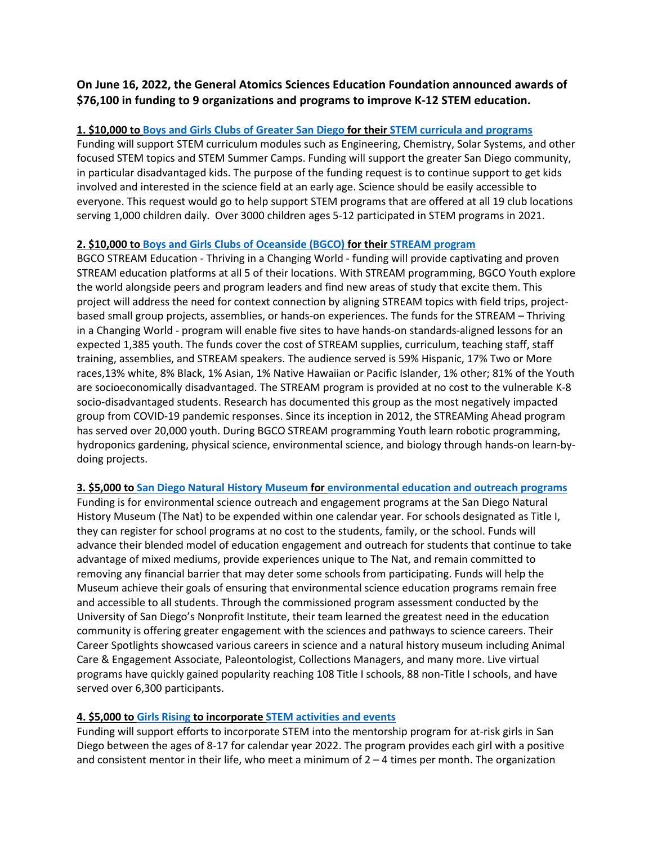# **On June 16, 2022, the General Atomics Sciences Education Foundation announced awards of \$76,100 in funding to 9 organizations and programs to improve K-12 STEM education.**

## **1. \$10,000 to [Boys and Girls Clubs of Greater San Diego](https://www.sdyouth.org/) for thei[r STEM curricula and programs](https://www.sdyouth.org/stem-program)**

Funding will support STEM curriculum modules such as Engineering, Chemistry, Solar Systems, and other focused STEM topics and STEM Summer Camps. Funding will support the greater San Diego community, in particular disadvantaged kids. The purpose of the funding request is to continue support to get kids involved and interested in the science field at an early age. Science should be easily accessible to everyone. This request would go to help support STEM programs that are offered at all 19 club locations serving 1,000 children daily. Over 3000 children ages 5-12 participated in STEM programs in 2021.

#### **2. \$10,000 to [Boys and Girls Clubs of Oceanside](https://bgcoceanside.org/) (BGCO) for their [STREAM program](https://bgcoceanside.org/programs/)**

BGCO STREAM Education - Thriving in a Changing World - funding will provide captivating and proven STREAM education platforms at all 5 of their locations. With STREAM programming, BGCO Youth explore the world alongside peers and program leaders and find new areas of study that excite them. This project will address the need for context connection by aligning STREAM topics with field trips, projectbased small group projects, assemblies, or hands-on experiences. The funds for the STREAM – Thriving in a Changing World - program will enable five sites to have hands-on standards-aligned lessons for an expected 1,385 youth. The funds cover the cost of STREAM supplies, curriculum, teaching staff, staff training, assemblies, and STREAM speakers. The audience served is 59% Hispanic, 17% Two or More races,13% white, 8% Black, 1% Asian, 1% Native Hawaiian or Pacific Islander, 1% other; 81% of the Youth are socioeconomically disadvantaged. The STREAM program is provided at no cost to the vulnerable K-8 socio-disadvantaged students. Research has documented this group as the most negatively impacted group from COVID-19 pandemic responses. Since its inception in 2012, the STREAMing Ahead program has served over 20,000 youth. During BGCO STREAM programming Youth learn robotic programming, hydroponics gardening, physical science, environmental science, and biology through hands-on learn-bydoing projects.

#### **3. \$5,000 t[o San Diego Natural History Museum](https://www.sdnhm.org/) for [environmental education and outreach programs](https://www.sdnhm.org/education/school-programs/)**

Funding is for environmental science outreach and engagement programs at the San Diego Natural History Museum (The Nat) to be expended within one calendar year. For schools designated as Title I, they can register for school programs at no cost to the students, family, or the school. Funds will advance their blended model of education engagement and outreach for students that continue to take advantage of mixed mediums, provide experiences unique to The Nat, and remain committed to removing any financial barrier that may deter some schools from participating. Funds will help the Museum achieve their goals of ensuring that environmental science education programs remain free and accessible to all students. Through the commissioned program assessment conducted by the University of San Diego's Nonprofit Institute, their team learned the greatest need in the education community is offering greater engagement with the sciences and pathways to science careers. Their Career Spotlights showcased various careers in science and a natural history museum including Animal Care & Engagement Associate, Paleontologist, Collections Managers, and many more. Live virtual programs have quickly gained popularity reaching 108 Title I schools, 88 non-Title I schools, and have served over 6,300 participants.

#### **4. \$5,000 t[o Girls Rising](https://girlsrisingsd.org/) to incorporat[e STEM activities and events](https://girlsrisingsd.org/events-and-activities)**

Funding will support efforts to incorporate STEM into the mentorship program for at-risk girls in San Diego between the ages of 8-17 for calendar year 2022. The program provides each girl with a positive and consistent mentor in their life, who meet a minimum of  $2 - 4$  times per month. The organization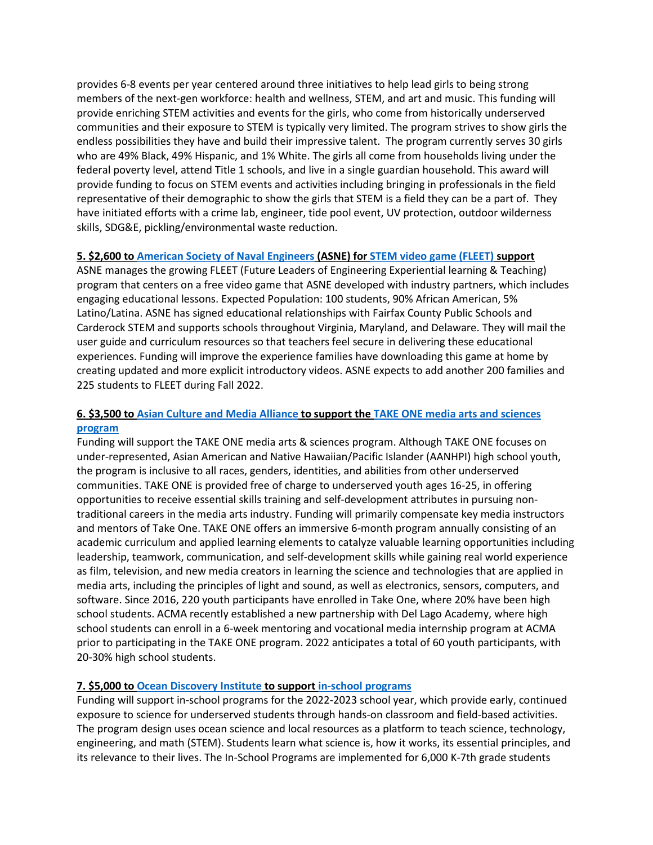provides 6-8 events per year centered around three initiatives to help lead girls to being strong members of the next-gen workforce: health and wellness, STEM, and art and music. This funding will provide enriching STEM activities and events for the girls, who come from historically underserved communities and their exposure to STEM is typically very limited. The program strives to show girls the endless possibilities they have and build their impressive talent. The program currently serves 30 girls who are 49% Black, 49% Hispanic, and 1% White. The girls all come from households living under the federal poverty level, attend Title 1 schools, and live in a single guardian household. This award will provide funding to focus on STEM events and activities including bringing in professionals in the field representative of their demographic to show the girls that STEM is a field they can be a part of. They have initiated efforts with a crime lab, engineer, tide pool event, UV protection, outdoor wilderness skills, SDG&E, pickling/environmental waste reduction.

#### **5. \$2,600 t[o American Society of Naval](https://www.navalengineers.org/) Engineers (ASNE) for [STEM video game \(FLEET\)](https://www.navalengineers.org/STEM-FLEET/FAQ) support**

ASNE manages the growing FLEET (Future Leaders of Engineering Experiential learning & Teaching) program that centers on a free video game that ASNE developed with industry partners, which includes engaging educational lessons. Expected Population: 100 students, 90% African American, 5% Latino/Latina. ASNE has signed educational relationships with Fairfax County Public Schools and Carderock STEM and supports schools throughout Virginia, Maryland, and Delaware. They will mail the user guide and curriculum resources so that teachers feel secure in delivering these educational experiences. Funding will improve the experience families have downloading this game at home by creating updated and more explicit introductory videos. ASNE expects to add another 200 families and 225 students to FLEET during Fall 2022.

## **6. \$3,500 t[o Asian Culture and Media Alliance](https://www.asianculturemediaalliance.org/) to support th[e TAKE ONE media arts and sciences](https://www.asianculturemediaalliance.org/take-one/)  [program](https://www.asianculturemediaalliance.org/take-one/)**

Funding will support the TAKE ONE media arts & sciences program. Although TAKE ONE focuses on under-represented, Asian American and Native Hawaiian/Pacific Islander (AANHPI) high school youth, the program is inclusive to all races, genders, identities, and abilities from other underserved communities. TAKE ONE is provided free of charge to underserved youth ages 16-25, in offering opportunities to receive essential skills training and self-development attributes in pursuing nontraditional careers in the media arts industry. Funding will primarily compensate key media instructors and mentors of Take One. TAKE ONE offers an immersive 6-month program annually consisting of an academic curriculum and applied learning elements to catalyze valuable learning opportunities including leadership, teamwork, communication, and self-development skills while gaining real world experience as film, television, and new media creators in learning the science and technologies that are applied in media arts, including the principles of light and sound, as well as electronics, sensors, computers, and software. Since 2016, 220 youth participants have enrolled in Take One, where 20% have been high school students. ACMA recently established a new partnership with Del Lago Academy, where high school students can enroll in a 6-week mentoring and vocational media internship program at ACMA prior to participating in the TAKE ONE program. 2022 anticipates a total of 60 youth participants, with 20-30% high school students.

#### **7. \$5,000 t[o Ocean Discovery Institute](https://oceandiscoveryinstitute.org/) to support [in-school programs](https://oceandiscoveryinstitute.org/who-we-are-2/programs-2/)**

Funding will support in-school programs for the 2022-2023 school year, which provide early, continued exposure to science for underserved students through hands-on classroom and field-based activities. The program design uses ocean science and local resources as a platform to teach science, technology, engineering, and math (STEM). Students learn what science is, how it works, its essential principles, and its relevance to their lives. The In-School Programs are implemented for 6,000 K-7th grade students